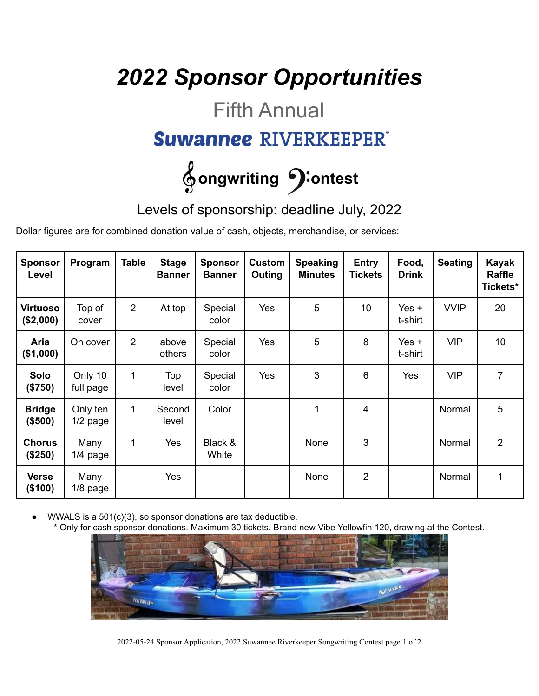## *2022 Sponsor Opportunities*

### Fifth Annual

#### **Suwannee RIVERKEEPER®**

# $\oint$  ongwriting  $\bigcirc$  ontest

Levels of sponsorship: deadline July, 2022

Dollar figures are for combined donation value of cash, objects, merchandise, or services:

| <b>Sponsor</b><br>Level  | Program                | <b>Table</b>   | <b>Stage</b><br><b>Banner</b> | <b>Sponsor</b><br><b>Banner</b> | <b>Custom</b><br>Outing | <b>Speaking</b><br><b>Minutes</b> | <b>Entry</b><br><b>Tickets</b> | Food,<br><b>Drink</b> | <b>Seating</b> | <b>Kayak</b><br>Raffle<br>Tickets* |
|--------------------------|------------------------|----------------|-------------------------------|---------------------------------|-------------------------|-----------------------------------|--------------------------------|-----------------------|----------------|------------------------------------|
| Virtuoso<br>(\$2,000)    | Top of<br>cover        | $\overline{2}$ | At top                        | Special<br>color                | Yes                     | 5                                 | 10 <sup>1</sup>                | Yes $+$<br>t-shirt    | <b>VVIP</b>    | 20                                 |
| Aria<br>(\$1,000)        | On cover               | $\overline{2}$ | above<br>others               | Special<br>color                | Yes                     | 5                                 | 8                              | Yes $+$<br>t-shirt    | <b>VIP</b>     | 10 <sup>°</sup>                    |
| Solo<br>(\$750)          | Only 10<br>full page   | $\mathbf{1}$   | Top<br>level                  | Special<br>color                | Yes                     | 3                                 | 6                              | Yes                   | <b>VIP</b>     | $\overline{7}$                     |
| <b>Bridge</b><br>(\$500) | Only ten<br>$1/2$ page | $\mathbf{1}$   | Second<br>level               | Color                           |                         | 1                                 | 4                              |                       | Normal         | 5                                  |
| <b>Chorus</b><br>(\$250) | Many<br>$1/4$ page     | 1              | Yes                           | Black &<br>White                |                         | None                              | 3                              |                       | Normal         | $\overline{2}$                     |
| <b>Verse</b><br>(\$100)  | Many<br>$1/8$ page     |                | Yes                           |                                 |                         | None                              | $\overline{2}$                 |                       | Normal         | 1                                  |

WWALS is a  $501(c)(3)$ , so sponsor donations are tax deductible.

Only for cash sponsor donations. Maximum 30 tickets. Brand new Vibe Yellowfin 120, drawing at the Contest.



2022-05-24 Sponsor Application, 2022 Suwannee Riverkeeper Songwriting Contest page 1 of 2